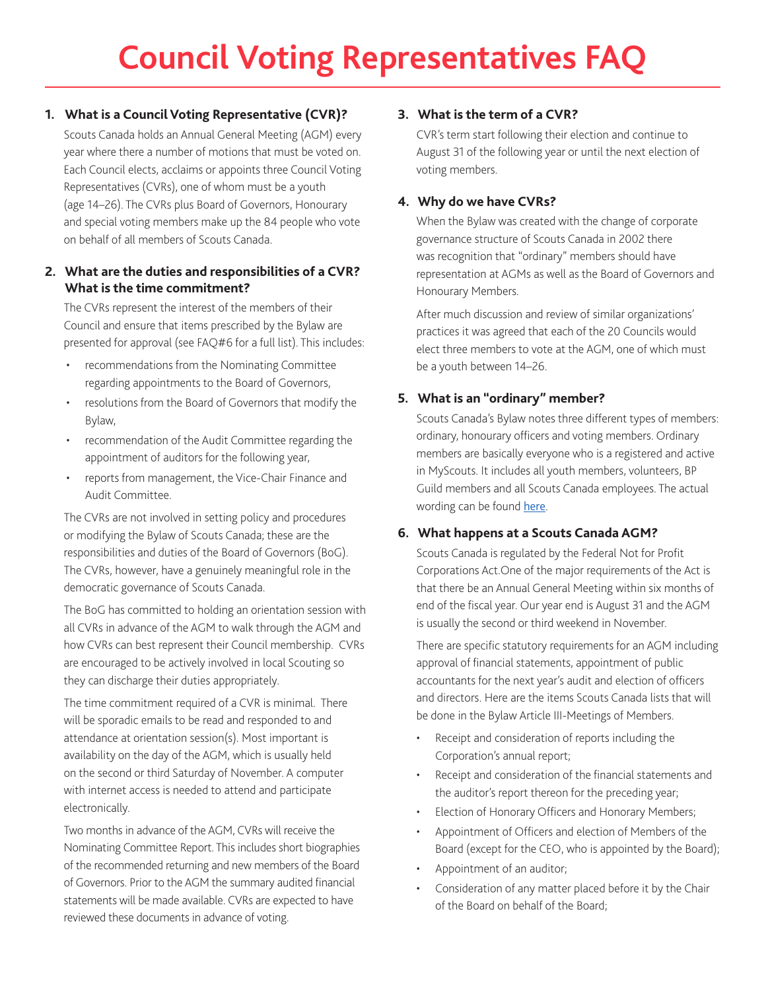# **1. What is a Council Voting Representative (CVR)?**

Scouts Canada holds an Annual General Meeting (AGM) every year where there a number of motions that must be voted on. Each Council elects, acclaims or appoints three Council Voting Representatives (CVRs), one of whom must be a youth (age 14–26). The CVRs plus Board of Governors, Honourary and special voting members make up the 84 people who vote on behalf of all members of Scouts Canada.

## **2. What are the duties and responsibilities of a CVR? What is the time commitment?**

The CVRs represent the interest of the members of their Council and ensure that items prescribed by the Bylaw are presented for approval (see FAQ#6 for a full list). This includes:

- recommendations from the Nominating Committee regarding appointments to the Board of Governors,
- resolutions from the Board of Governors that modify the Bylaw,
- recommendation of the Audit Committee regarding the appointment of auditors for the following year,
- reports from management, the Vice-Chair Finance and Audit Committee.

The CVRs are not involved in setting policy and procedures or modifying the Bylaw of Scouts Canada; these are the responsibilities and duties of the Board of Governors (BoG). The CVRs, however, have a genuinely meaningful role in the democratic governance of Scouts Canada.

The BoG has committed to holding an orientation session with all CVRs in advance of the AGM to walk through the AGM and how CVRs can best represent their Council membership. CVRs are encouraged to be actively involved in local Scouting so they can discharge their duties appropriately.

The time commitment required of a CVR is minimal. There will be sporadic emails to be read and responded to and attendance at orientation session(s). Most important is availability on the day of the AGM, which is usually held on the second or third Saturday of November. A computer with internet access is needed to attend and participate electronically.

Two months in advance of the AGM, CVRs will receive the Nominating Committee Report. This includes short biographies of the recommended returning and new members of the Board of Governors. Prior to the AGM the summary audited financial statements will be made available. CVRs are expected to have reviewed these documents in advance of voting.

# **3. What is the term of a CVR?**

CVR's term start following their election and continue to August 31 of the following year or until the next election of voting members.

## **4. Why do we have CVRs?**

When the Bylaw was created with the change of corporate governance structure of Scouts Canada in 2002 there was recognition that "ordinary" members should have representation at AGMs as well as the Board of Governors and Honourary Members.

After much discussion and review of similar organizations' practices it was agreed that each of the 20 Councils would elect three members to vote at the AGM, one of which must be a youth between 14–26.

# **5. What is an "ordinary" member?**

Scouts Canada's Bylaw notes three different types of members: ordinary, honourary officers and voting members. Ordinary members are basically everyone who is a registered and active in MyScouts. It includes all youth members, volunteers, BP Guild members and all Scouts Canada employees. The actual wording can be found [here](https://www.scouts.ca/resources/bpp/bylaw/article-2-members.html).

# **6. What happens at a Scouts Canada AGM?**

Scouts Canada is regulated by the Federal Not for Profit Corporations Act.One of the major requirements of the Act is that there be an Annual General Meeting within six months of end of the fiscal year. Our year end is August 31 and the AGM is usually the second or third weekend in November.

There are specific statutory requirements for an AGM including approval of financial statements, appointment of public accountants for the next year's audit and election of officers and directors. Here are the items Scouts Canada lists that will be done in the Bylaw Article III-Meetings of Members.

- Receipt and consideration of reports including the Corporation's annual report;
- Receipt and consideration of the financial statements and the auditor's report thereon for the preceding year;
- Election of Honorary Officers and Honorary Members;
- Appointment of Officers and election of Members of the Board (except for the CEO, who is appointed by the Board);
- Appointment of an auditor;
- Consideration of any matter placed before it by the Chair of the Board on behalf of the Board;